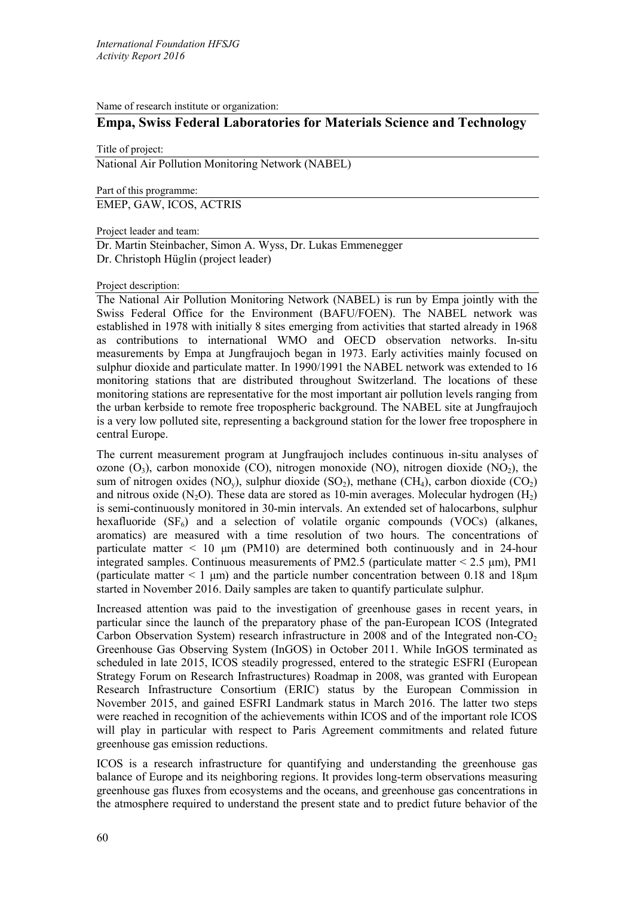Name of research institute or organization:

# **Empa, Swiss Federal Laboratories for Materials Science and Technology**

Title of project:

National Air Pollution Monitoring Network (NABEL)

Part of this programme:

EMEP, GAW, ICOS, ACTRIS

Project leader and team:

Dr. Martin Steinbacher, Simon A. Wyss, Dr. Lukas Emmenegger Dr. Christoph Hüglin (project leader)

### Project description:

The National Air Pollution Monitoring Network (NABEL) is run by Empa jointly with the Swiss Federal Office for the Environment (BAFU/FOEN). The NABEL network was established in 1978 with initially 8 sites emerging from activities that started already in 1968 as contributions to international WMO and OECD observation networks. In-situ measurements by Empa at Jungfraujoch began in 1973. Early activities mainly focused on sulphur dioxide and particulate matter. In 1990/1991 the NABEL network was extended to 16 monitoring stations that are distributed throughout Switzerland. The locations of these monitoring stations are representative for the most important air pollution levels ranging from the urban kerbside to remote free tropospheric background. The NABEL site at Jungfraujoch is a very low polluted site, representing a background station for the lower free troposphere in central Europe.

The current measurement program at Jungfraujoch includes continuous in-situ analyses of ozone  $(O_3)$ , carbon monoxide (CO), nitrogen monoxide (NO), nitrogen dioxide (NO<sub>2</sub>), the sum of nitrogen oxides (NO<sub>y</sub>), sulphur dioxide (SO<sub>2</sub>), methane (CH<sub>4</sub>), carbon dioxide (CO<sub>2</sub>) and nitrous oxide (N<sub>2</sub>O). These data are stored as 10-min averages. Molecular hydrogen (H<sub>2</sub>) is semi-continuously monitored in 30-min intervals. An extended set of halocarbons, sulphur hexafluoride  $(SF_6)$  and a selection of volatile organic compounds (VOCs) (alkanes, aromatics) are measured with a time resolution of two hours. The concentrations of particulate matter  $\lt$  10  $\mu$ m (PM10) are determined both continuously and in 24-hour integrated samples. Continuous measurements of PM2.5 (particulate matter  $\leq$  2.5  $\mu$ m), PM1 (particulate matter  $\leq 1 \mu m$ ) and the particle number concentration between 0.18 and 18 $\mu$ m started in November 2016. Daily samples are taken to quantify particulate sulphur.

Increased attention was paid to the investigation of greenhouse gases in recent years, in particular since the launch of the preparatory phase of the pan-European ICOS (Integrated Carbon Observation System) research infrastructure in  $2008$  and of the Integrated non-CO<sub>2</sub> Greenhouse Gas Observing System (InGOS) in October 2011. While InGOS terminated as scheduled in late 2015, ICOS steadily progressed, entered to the strategic ESFRI (European Strategy Forum on Research Infrastructures) Roadmap in 2008, was granted with European Research Infrastructure Consortium (ERIC) status by the European Commission in November 2015, and gained ESFRI Landmark status in March 2016. The latter two steps were reached in recognition of the achievements within ICOS and of the important role ICOS will play in particular with respect to Paris Agreement commitments and related future greenhouse gas emission reductions.

ICOS is a research infrastructure for quantifying and understanding the greenhouse gas balance of Europe and its neighboring regions. It provides long-term observations measuring greenhouse gas fluxes from ecosystems and the oceans, and greenhouse gas concentrations in the atmosphere required to understand the present state and to predict future behavior of the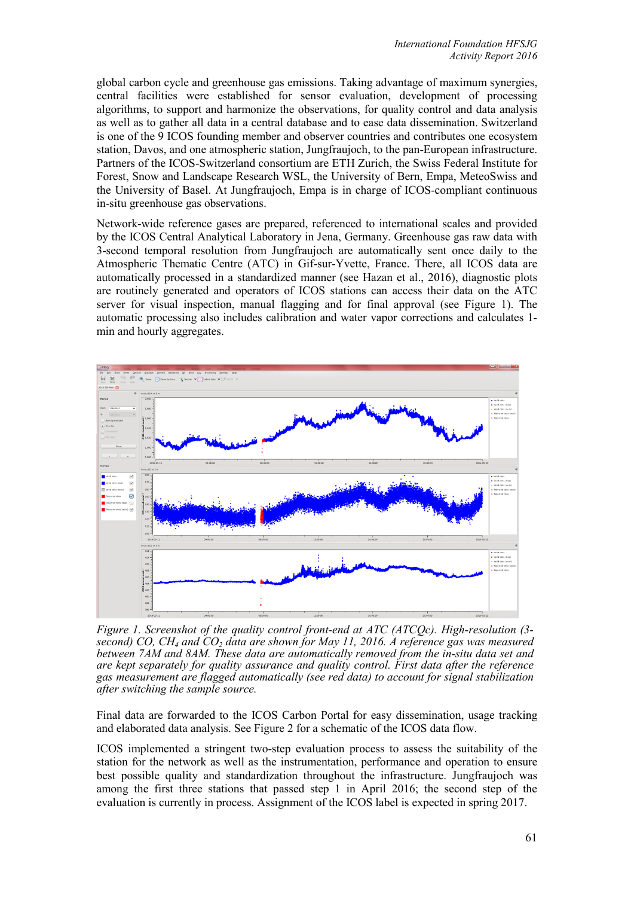global carbon cycle and greenhouse gas emissions. Taking advantage of maximum synergies, central facilities were established for sensor evaluation, development of processing algorithms, to support and harmonize the observations, for quality control and data analysis as well as to gather all data in a central database and to ease data dissemination. Switzerland is one of the 9 ICOS founding member and observer countries and contributes one ecosystem station, Davos, and one atmospheric station, Jungfraujoch, to the pan-European infrastructure. Partners of the ICOS-Switzerland consortium are ETH Zurich, the Swiss Federal Institute for Forest, Snow and Landscape Research WSL, the University of Bern, Empa, MeteoSwiss and the University of Basel. At Jungfraujoch, Empa is in charge of ICOS-compliant continuous in-situ greenhouse gas observations.

Network-wide reference gases are prepared, referenced to international scales and provided by the ICOS Central Analytical Laboratory in Jena, Germany. Greenhouse gas raw data with 3-second temporal resolution from Jungfraujoch are automatically sent once daily to the Atmospheric Thematic Centre (ATC) in Gif-sur-Yvette, France. There, all ICOS data are automatically processed in a standardized manner (see Hazan et al., 2016), diagnostic plots are routinely generated and operators of ICOS stations can access their data on the ATC server for visual inspection, manual flagging and for final approval (see Figure 1). The automatic processing also includes calibration and water vapor corrections and calculates 1 min and hourly aggregates.



*Figure 1. Screenshot of the quality control front-end at ATC (ATCQc). High-resolution (3 second) CO, CH4 and CO2 data are shown for May 11, 2016. A reference gas was measured between 7AM and 8AM. These data are automatically removed from the in-situ data set and are kept separately for quality assurance and quality control. First data after the reference gas measurement are flagged automatically (see red data) to account for signal stabilization after switching the sample source.* 

Final data are forwarded to the ICOS Carbon Portal for easy dissemination, usage tracking and elaborated data analysis. See Figure 2 for a schematic of the ICOS data flow.

ICOS implemented a stringent two-step evaluation process to assess the suitability of the station for the network as well as the instrumentation, performance and operation to ensure best possible quality and standardization throughout the infrastructure. Jungfraujoch was among the first three stations that passed step 1 in April 2016; the second step of the evaluation is currently in process. Assignment of the ICOS label is expected in spring 2017.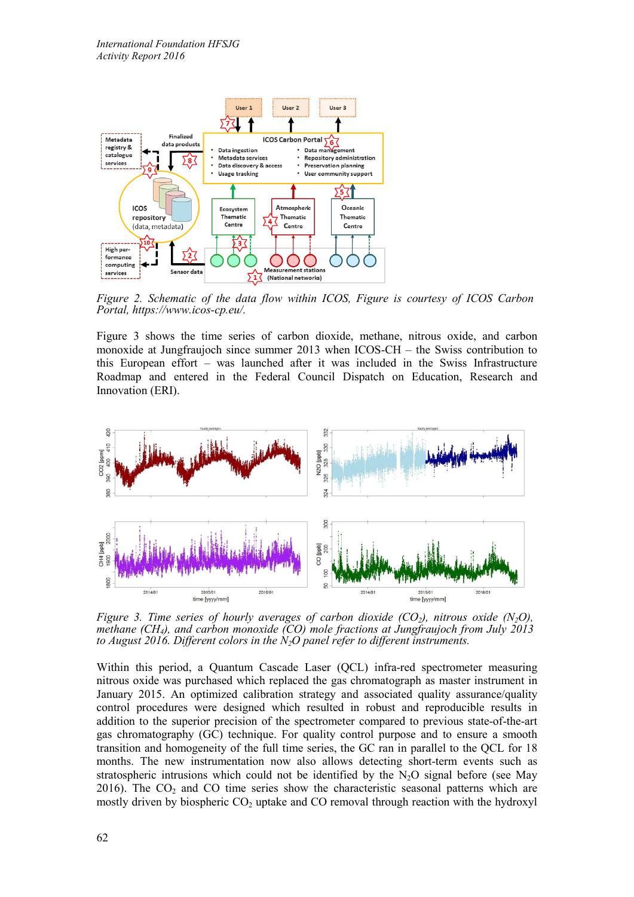

*Figure 2. Schematic of the data flow within ICOS, Figure is courtesy of ICOS Carbon Portal, https://www.icos-cp.eu/.* 

Figure 3 shows the time series of carbon dioxide, methane, nitrous oxide, and carbon monoxide at Jungfraujoch since summer 2013 when ICOS-CH – the Swiss contribution to this European effort – was launched after it was included in the Swiss Infrastructure Roadmap and entered in the Federal Council Dispatch on Education, Research and Innovation (ERI).



*Figure 3. Time series of hourly averages of carbon dioxide (CO<sub>2</sub>), nitrous oxide (N<sub>2</sub>O), methane (CH4), and carbon monoxide (CO) mole fractions at Jungfraujoch from July 2013 to August 2016. Different colors in the N2O panel refer to different instruments.*

Within this period, a Quantum Cascade Laser (QCL) infra-red spectrometer measuring nitrous oxide was purchased which replaced the gas chromatograph as master instrument in January 2015. An optimized calibration strategy and associated quality assurance/quality control procedures were designed which resulted in robust and reproducible results in addition to the superior precision of the spectrometer compared to previous state-of-the-art gas chromatography (GC) technique. For quality control purpose and to ensure a smooth transition and homogeneity of the full time series, the GC ran in parallel to the QCL for 18 months. The new instrumentation now also allows detecting short-term events such as stratospheric intrusions which could not be identified by the  $N_2O$  signal before (see May 2016). The  $CO<sub>2</sub>$  and  $CO$  time series show the characteristic seasonal patterns which are mostly driven by biospheric  $CO<sub>2</sub>$  uptake and  $CO$  removal through reaction with the hydroxyl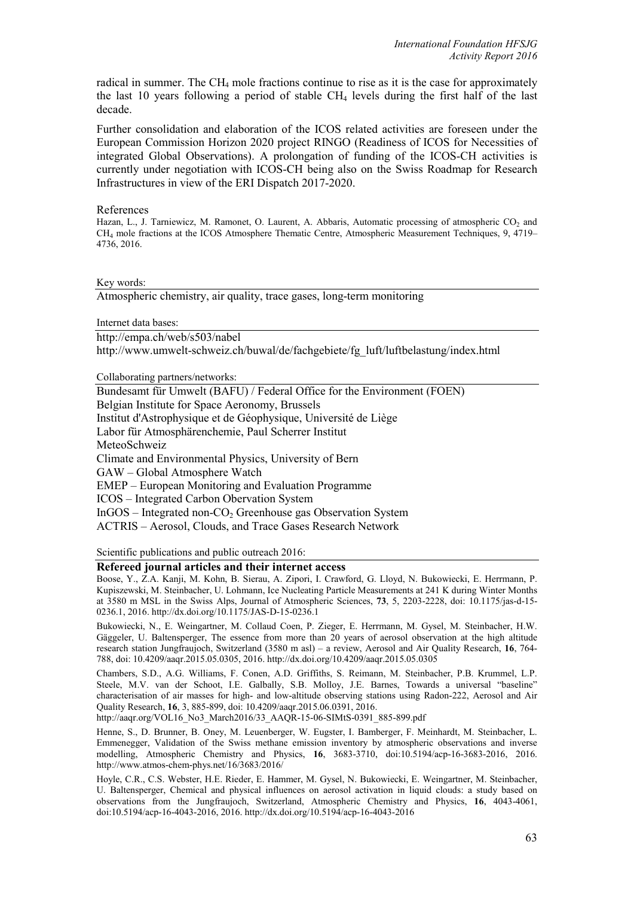radical in summer. The CH<sub>4</sub> mole fractions continue to rise as it is the case for approximately the last 10 years following a period of stable  $CH<sub>4</sub>$  levels during the first half of the last decade.

Further consolidation and elaboration of the ICOS related activities are foreseen under the European Commission Horizon 2020 project RINGO (Readiness of ICOS for Necessities of integrated Global Observations). A prolongation of funding of the ICOS-CH activities is currently under negotiation with ICOS-CH being also on the Swiss Roadmap for Research Infrastructures in view of the ERI Dispatch 2017-2020.

## References

Hazan, L., J. Tarniewicz, M. Ramonet, O. Laurent, A. Abbaris, Automatic processing of atmospheric CO<sub>2</sub> and CH4 mole fractions at the ICOS Atmosphere Thematic Centre, Atmospheric Measurement Techniques, 9, 4719– 4736, 2016.

### Key words:

Atmospheric chemistry, air quality, trace gases, long-term monitoring

Internet data bases:

http://empa.ch/web/s503/nabel

http://www.umwelt-schweiz.ch/buwal/de/fachgebiete/fg\_luft/luftbelastung/index.html

Collaborating partners/networks:

Bundesamt für Umwelt (BAFU) / Federal Office for the Environment (FOEN) Belgian Institute for Space Aeronomy, Brussels Institut d'Astrophysique et de Géophysique, Université de Liège Labor für Atmosphärenchemie, Paul Scherrer Institut MeteoSchweiz Climate and Environmental Physics, University of Bern GAW – Global Atmosphere Watch EMEP – European Monitoring and Evaluation Programme ICOS – Integrated Carbon Obervation System  $InGOS$  – Integrated non-CO<sub>2</sub> Greenhouse gas Observation System ACTRIS – Aerosol, Clouds, and Trace Gases Research Network

Scientific publications and public outreach 2016:

# **Refereed journal articles and their internet access**

Boose, Y., Z.A. Kanji, M. Kohn, B. Sierau, A. Zipori, I. Crawford, G. Lloyd, N. Bukowiecki, E. Herrmann, P. Kupiszewski, M. Steinbacher, U. Lohmann, Ice Nucleating Particle Measurements at 241 K during Winter Months at 3580 m MSL in the Swiss Alps, Journal of Atmospheric Sciences, **73**, 5, 2203-2228, doi: 10.1175/jas-d-15- 0236.1, 2016. http://dx.doi.org/10.1175/JAS-D-15-0236.1

Bukowiecki, N., E. Weingartner, M. Collaud Coen, P. Zieger, E. Herrmann, M. Gysel, M. Steinbacher, H.W. Gäggeler, U. Baltensperger, The essence from more than 20 years of aerosol observation at the high altitude research station Jungfraujoch, Switzerland (3580 m asl) – a review, Aerosol and Air Quality Research, **16**, 764- 788, doi: 10.4209/aaqr.2015.05.0305, 2016. http://dx.doi.org/10.4209/aaqr.2015.05.0305

Chambers, S.D., A.G. Williams, F. Conen, A.D. Griffiths, S. Reimann, M. Steinbacher, P.B. Krummel, L.P. Steele, M.V. van der Schoot, I.E. Galbally, S.B. Molloy, J.E. Barnes, Towards a universal "baseline" characterisation of air masses for high- and low-altitude observing stations using Radon-222, Aerosol and Air Quality Research, **16**, 3, 885-899, doi: 10.4209/aaqr.2015.06.0391, 2016.

http://aaqr.org/VOL16\_No3\_March2016/33\_AAQR-15-06-SIMtS-0391\_885-899.pdf

Henne, S., D. Brunner, B. Oney, M. Leuenberger, W. Eugster, I. Bamberger, F. Meinhardt, M. Steinbacher, L. Emmenegger, Validation of the Swiss methane emission inventory by atmospheric observations and inverse modelling, Atmospheric Chemistry and Physics, **16**, 3683-3710, doi:10.5194/acp-16-3683-2016, 2016. http://www.atmos-chem-phys.net/16/3683/2016/

Hoyle, C.R., C.S. Webster, H.E. Rieder, E. Hammer, M. Gysel, N. Bukowiecki, E. Weingartner, M. Steinbacher, U. Baltensperger, Chemical and physical influences on aerosol activation in liquid clouds: a study based on observations from the Jungfraujoch, Switzerland, Atmospheric Chemistry and Physics, **16**, 4043-4061, doi:10.5194/acp-16-4043-2016, 2016. http://dx.doi.org/10.5194/acp-16-4043-2016